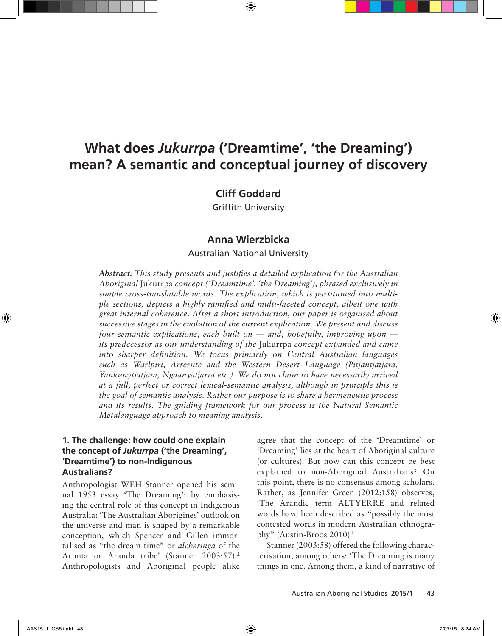# **What does** *Jukurrpa* **('Dreamtime', 'the Dreaming') mean? A semantic and conceptual journey of discovery**

 $\bigoplus$ 

# **Cliff Goddard**

Griffith University

# **Anna Wierzbicka**

### Australian National University

*Abstract: This study presents and justifies a detailed explication for the Australian Aboriginal* Jukurrpa *concept ('Dreamtime', 'the Dreaming'), phrased exclusively in simple cross-translatable words. The explication, which is partitioned into multiple sections, depicts a highly ramified and multi-faceted concept, albeit one with great internal coherence. After a short introduction, our paper is organised about successive stages in the evolution of the current explication. We present and discuss four semantic explications, each built on — and, hopefully, improving upon its predecessor as our understanding of the* Jukurrpa *concept expanded and came into sharper definition. We focus primarily on Central Australian languages such as Warlpiri, Arrernte and the Western Desert Language (Pitjantjatjara, Yankunytjatjara, Ngaanyatjarra etc.). We do not claim to have necessarily arrived at a full, perfect or correct lexical-semantic analysis, although in principle this is the goal of semantic analysis. Rather our purpose is to share a hermeneutic process and its results. The guiding framework for our process is the Natural Semantic Metalanguage approach to meaning analysis.*

# **1. The challenge: how could one explain the concept of** *Jukurrpa* **('the Dreaming', 'Dreamtime') to non-Indigenous Australians?**

Anthropologist WEH Stanner opened his seminal 1953 essay 'The Dreaming'1 by emphasising the central role of this concept in Indigenous Australia: 'The Australian Aborigines' outlook on the universe and man is shaped by a remarkable conception, which Spencer and Gillen immortalised as "the dream time" or *alcheringa* of the Arunta or Aranda tribe' (Stanner 2003:57).2 Anthropologists and Aboriginal people alike agree that the concept of the 'Dreamtime' or 'Dreaming' lies at the heart of Aboriginal culture (or cultures). But how can this concept be best explained to non-Aboriginal Australians? On this point, there is no consensus among scholars. Rather, as Jennifer Green (2012:158) observes, 'The Arandic term ALTYERRE and related words have been described as "possibly the most contested words in modern Australian ethnography" (Austin-Broos 2010).'

Stanner (2003:58) offered the following characterisation, among others: 'The Dreaming is many things in one. Among them, a kind of narrative of

⊕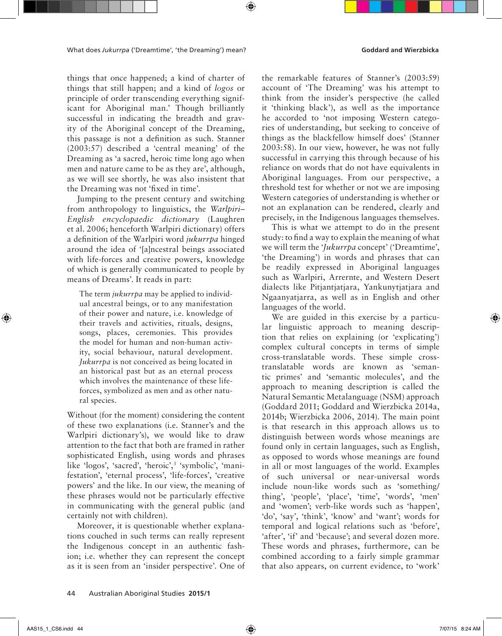things that once happened; a kind of charter of things that still happen; and a kind of *logos* or principle of order transcending everything significant for Aboriginal man.' Though brilliantly successful in indicating the breadth and gravity of the Aboriginal concept of the Dreaming, this passage is not a definition as such. Stanner (2003:57) described a 'central meaning' of the Dreaming as 'a sacred, heroic time long ago when men and nature came to be as they are', although, as we will see shortly, he was also insistent that the Dreaming was not 'fixed in time'.

Jumping to the present century and switching from anthropology to linguistics, the *Warlpiri– English encyclopaedic dictionary* (Laughren et al. 2006; henceforth Warlpiri dictionary) offers a definition of the Warlpiri word *jukurrpa* hinged around the idea of '[a]ncestral beings associated with life-forces and creative powers, knowledge of which is generally communicated to people by means of Dreams'. It reads in part:

The term *jukurrpa* may be applied to individual ancestral beings, or to any manifestation of their power and nature, i.e. knowledge of their travels and activities, rituals, designs, songs, places, ceremonies. This provides the model for human and non-human activity, social behaviour, natural development. *Jukurrpa* is not conceived as being located in an historical past but as an eternal process which involves the maintenance of these lifeforces, symbolized as men and as other natural species.

Without (for the moment) considering the content of these two explanations (i.e. Stanner's and the Warlpiri dictionary's), we would like to draw attention to the fact that both are framed in rather sophisticated English, using words and phrases like 'logos', 'sacred', 'heroic',<sup>3</sup> 'symbolic', 'manifestation', 'eternal process', 'life-forces', 'creative powers' and the like. In our view, the meaning of these phrases would not be particularly effective in communicating with the general public (and certainly not with children).

Moreover, it is questionable whether explanations couched in such terms can really represent the Indigenous concept in an authentic fashion; i.e. whether they can represent the concept as it is seen from an 'insider perspective'. One of

the remarkable features of Stanner's (2003:59) account of 'The Dreaming' was his attempt to think from the insider's perspective (he called it 'thinking black'), as well as the importance he accorded to 'not imposing Western categories of understanding, but seeking to conceive of things as the blackfellow himself does' (Stanner 2003:58). In our view, however, he was not fully successful in carrying this through because of his reliance on words that do not have equivalents in Aboriginal languages. From our perspective, a threshold test for whether or not we are imposing Western categories of understanding is whether or not an explanation can be rendered, clearly and precisely, in the Indigenous languages themselves.

This is what we attempt to do in the present study: to find a way to explain the meaning of what we will term the '*Jukurrpa* concept' ('Dreamtime', 'the Dreaming') in words and phrases that can be readily expressed in Aboriginal languages such as Warlpiri, Arrernte, and Western Desert dialects like Pitjantjatjara, Yankunytjatjara and Ngaanyatjarra, as well as in English and other languages of the world.

We are guided in this exercise by a particular linguistic approach to meaning description that relies on explaining (or 'explicating') complex cultural concepts in terms of simple cross-translatable words. These simple crosstranslatable words are known as 'semantic primes' and 'semantic molecules', and the approach to meaning description is called the Natural Semantic Metalanguage (NSM) approach (Goddard 2011; Goddard and Wierzbicka 2014a, 2014b; Wierzbicka 2006, 2014). The main point is that research in this approach allows us to distinguish between words whose meanings are found only in certain languages, such as English, as opposed to words whose meanings are found in all or most languages of the world. Examples of such universal or near-universal words include noun-like words such as 'something/ thing', 'people', 'place', 'time', 'words', 'men' and 'women'; verb-like words such as 'happen', 'do', 'say', 'think', 'know' and 'want'; words for temporal and logical relations such as 'before', 'after', 'if' and 'because'; and several dozen more. These words and phrases, furthermore, can be combined according to a fairly simple grammar that also appears, on current evidence, to 'work'

44 Australian Aboriginal Studies **2015/1**

↔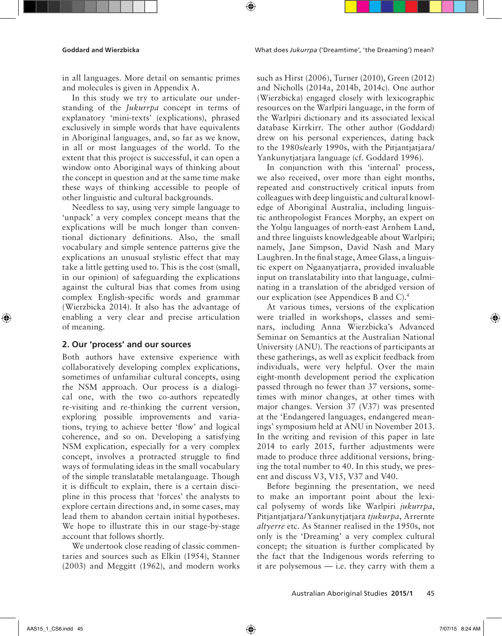in all languages. More detail on semantic primes and molecules is given in Appendix A.

In this study we try to articulate our understanding of the *Jukurrpa* concept in terms of explanatory 'mini-texts' (explications), phrased exclusively in simple words that have equivalents in Aboriginal languages, and, so far as we know, in all or most languages of the world. To the extent that this project is successful, it can open a window onto Aboriginal ways of thinking about the concept in question and at the same time make these ways of thinking accessible to people of other linguistic and cultural backgrounds.

Needless to say, using very simple language to 'unpack' a very complex concept means that the explications will be much longer than conventional dictionary definitions. Also, the small vocabulary and simple sentence patterns give the explications an unusual stylistic effect that may take a little getting used to. This is the cost (small, in our opinion) of safeguarding the explications against the cultural bias that comes from using complex English-specific words and grammar (Wierzbicka 2014). It also has the advantage of enabling a very clear and precise articulation of meaning.

### **2. Our 'process' and our sources**

Both authors have extensive experience with collaboratively developing complex explications, sometimes of unfamiliar cultural concepts, using the NSM approach. Our process is a dialogical one, with the two co-authors repeatedly re-visiting and re-thinking the current version, exploring possible improvements and variations, trying to achieve better 'flow' and logical coherence, and so on. Developing a satisfying NSM explication, especially for a very complex concept, involves a protracted struggle to find ways of formulating ideas in the small vocabulary of the simple translatable metalanguage. Though it is difficult to explain, there is a certain discipline in this process that 'forces' the analysts to explore certain directions and, in some cases, may lead them to abandon certain initial hypotheses. We hope to illustrate this in our stage-by-stage account that follows shortly.

We undertook close reading of classic commentaries and sources such as Elkin (1954), Stanner (2003) and Meggitt (1962), and modern works such as Hirst (2006), Turner (2010), Green (2012) and Nicholls (2014a, 2014b, 2014c). One author (Wierzbicka) engaged closely with lexicographic resources on the Warlpiri language, in the form of the Warlpiri dictionary and its associated lexical database Kirrkirr. The other author (Goddard) drew on his personal experiences, dating back to the 1980s/early 1990s, with the Pitjantjatjara/ Yankunytjatjara language (cf. Goddard 1996).

In conjunction with this 'internal' process, we also received, over more than eight months, repeated and constructively critical inputs from colleagues with deep linguistic and cultural knowledge of Aboriginal Australia, including linguistic anthropologist Frances Morphy, an expert on the Yolŋu languages of north-east Arnhem Land, and three linguists knowledgeable about Warlpiri; namely, Jane Simpson, David Nash and Mary Laughren. In the final stage, Amee Glass, a linguistic expert on Ngaanyatjarra, provided invaluable input on translatability into that language, culminating in a translation of the abridged version of our explication (see Appendices B and C).4

At various times, versions of the explication were trialled in workshops, classes and seminars, including Anna Wierzbicka's Advanced Seminar on Semantics at the Australian National University (ANU). The reactions of participants at these gatherings, as well as explicit feedback from individuals, were very helpful. Over the main eight-month development period the explication passed through no fewer than 37 versions, sometimes with minor changes, at other times with major changes. Version 37 (V37) was presented at the 'Endangered languages, endangered meanings' symposium held at ANU in November 2013. In the writing and revision of this paper in late 2014 to early 2015, further adjustments were made to produce three additional versions, bringing the total number to 40. In this study, we present and discuss V3, V15, V37 and V40.

Before beginning the presentation, we need to make an important point about the lexical polysemy of words like Warlpiri *jukurrpa*, Pitjantjatjara/Yankunytjatjara *tjukurpa*, Arrernte *altyerre* etc. As Stanner realised in the 1950s, not only is the 'Dreaming' a very complex cultural concept; the situation is further complicated by the fact that the Indigenous words referring to it are polysemous — i.e. they carry with them a

↔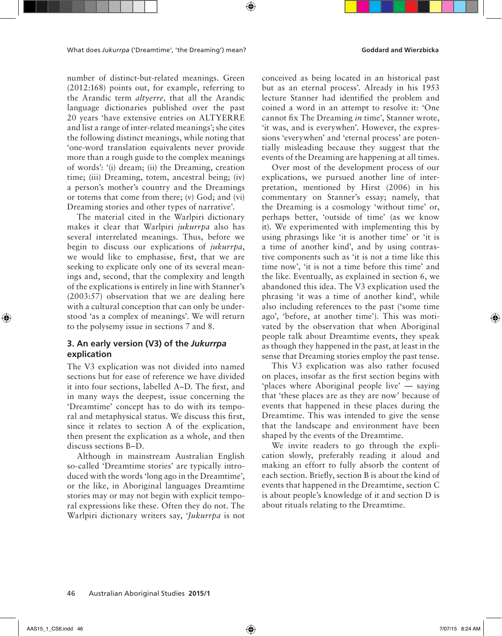number of distinct-but-related meanings. Green (2012:168) points out, for example, referring to the Arandic term *altyerre,* that all the Arandic language dictionaries published over the past 20 years 'have extensive entries on ALTYERRE and list a range of inter-related meanings'; she cites the following distinct meanings, while noting that 'one-word translation equivalents never provide more than a rough guide to the complex meanings of words': '(i) dream; (ii) the Dreaming, creation time; (iii) Dreaming, totem, ancestral being; (iv) a person's mother's country and the Dreamings or totems that come from there; (v) God; and (vi) Dreaming stories and other types of narrative'.

The material cited in the Warlpiri dictionary makes it clear that Warlpiri *jukurrpa* also has several interrelated meanings. Thus, before we begin to discuss our explications of *jukurrpa*, we would like to emphasise, first, that we are seeking to explicate only one of its several meanings and, second, that the complexity and length of the explications is entirely in line with Stanner's (2003:57) observation that we are dealing here with a cultural conception that can only be understood 'as a complex of meanings'. We will return to the polysemy issue in sections 7 and 8.

# **3. An early version (V3) of the** *Jukurrpa* **explication**

The V3 explication was not divided into named sections but for ease of reference we have divided it into four sections, labelled A–D. The first, and in many ways the deepest, issue concerning the 'Dreamtime' concept has to do with its temporal and metaphysical status. We discuss this first, since it relates to section A of the explication, then present the explication as a whole, and then discuss sections B–D.

Although in mainstream Australian English so-called 'Dreamtime stories' are typically introduced with the words 'long ago in the Dreamtime', or the like, in Aboriginal languages Dreamtime stories may or may not begin with explicit temporal expressions like these. Often they do not. The Warlpiri dictionary writers say, '*Jukurrpa* is not

conceived as being located in an historical past but as an eternal process'. Already in his 1953 lecture Stanner had identified the problem and coined a word in an attempt to resolve it: 'One cannot fix The Dreaming *in* time', Stanner wrote, 'it was, and is everywhen'. However, the expressions 'everywhen' and 'eternal process' are potentially misleading because they suggest that the events of the Dreaming are happening at all times.

Over most of the development process of our explications, we pursued another line of interpretation, mentioned by Hirst (2006) in his commentary on Stanner's essay; namely, that the Dreaming is a cosmology 'without time' or, perhaps better, 'outside of time' (as we know it). We experimented with implementing this by using phrasings like 'it is another time' or 'it is a time of another kind', and by using contrastive components such as 'it is not a time like this time now', 'it is not a time before this time' and the like. Eventually, as explained in section 6, we abandoned this idea. The V3 explication used the phrasing 'it was a time of another kind', while also including references to the past ('some time ago', 'before, at another time'). This was motivated by the observation that when Aboriginal people talk about Dreamtime events, they speak as though they happened in the past, at least in the sense that Dreaming stories employ the past tense.

This V3 explication was also rather focused on places, insofar as the first section begins with 'places where Aboriginal people live' — saying that 'these places are as they are now' because of events that happened in these places during the Dreamtime. This was intended to give the sense that the landscape and environment have been shaped by the events of the Dreamtime.

We invite readers to go through the explication slowly, preferably reading it aloud and making an effort to fully absorb the content of each section. Briefly, section B is about the kind of events that happened in the Dreamtime, section C is about people's knowledge of it and section D is about rituals relating to the Dreamtime.

### 46 Australian Aboriginal Studies **2015/1**

↔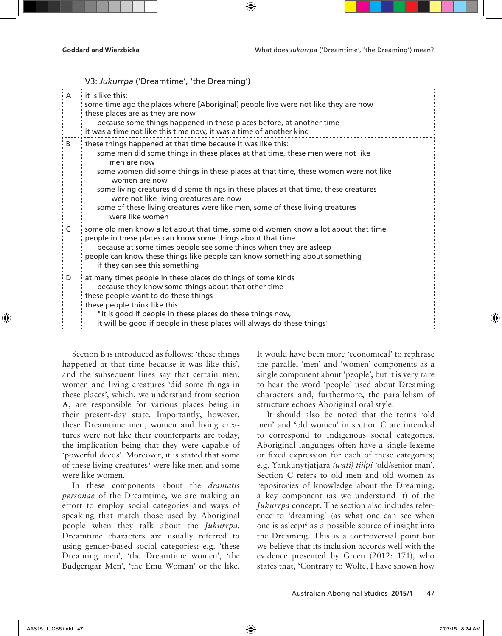V3: *Jukurrpa* ('Dreamtime', 'the Dreaming')

| $\overline{A}$ | $\cdot$ it is like this:<br>some time ago the places where [Aboriginal] people live were not like they are now<br>these places are as they are now<br>because some things happened in these places before, at another time<br>it was a time not like this time now, it was a time of another kind                                                                                                                                                                                                        |
|----------------|----------------------------------------------------------------------------------------------------------------------------------------------------------------------------------------------------------------------------------------------------------------------------------------------------------------------------------------------------------------------------------------------------------------------------------------------------------------------------------------------------------|
| B              | these things happened at that time because it was like this:<br>some men did some things in these places at that time, these men were not like<br>men are now<br>some women did some things in these places at that time, these women were not like<br>women are now<br>some living creatures did some things in these places at that time, these creatures<br>were not like living creatures are now<br>some of these living creatures were like men, some of these living creatures<br>were like women |
| C              | some old men know a lot about that time, some old women know a lot about that time<br>people in these places can know some things about that time<br>because at some times people see some things when they are asleep<br>people can know these things like people can know something about something<br>if they can see this something                                                                                                                                                                  |
| D              | at many times people in these places do things of some kinds<br>because they know some things about that other time<br>these people want to do these things<br>these people think like this:<br>"it is good if people in these places do these things now,<br>it will be good if people in these places will always do these things"                                                                                                                                                                     |

Section B is introduced as follows: 'these things happened at that time because it was like this', and the subsequent lines say that certain men, women and living creatures 'did some things in these places', which, we understand from section A, are responsible for various places being in their present-day state. Importantly, however, these Dreamtime men, women and living creatures were not like their counterparts are today, the implication being that they were capable of 'powerful deeds'. Moreover, it is stated that some of these living creatures<sup>5</sup> were like men and some were like women.

In these components about the *dramatis personae* of the Dreamtime, we are making an effort to employ social categories and ways of speaking that match those used by Aboriginal people when they talk about the *Jukurrpa*. Dreamtime characters are usually referred to using gender-based social categories; e.g. 'these Dreaming men', 'the Dreamtime women', 'the Budgerigar Men', 'the Emu Woman' or the like. It would have been more 'economical' to rephrase the parallel 'men' and 'women' components as a single component about 'people', but it is very rare to hear the word 'people' used about Dreaming characters and, furthermore, the parallelism of structure echoes Aboriginal oral style.

It should also be noted that the terms 'old men' and 'old women' in section C are intended to correspond to Indigenous social categories. Aboriginal languages often have a single lexeme or fixed expression for each of these categories; e.g. Yankunytjatjara *(wati) tjilpi* 'old/senior man'. Section C refers to old men and old women as repositories of knowledge about the Dreaming, a key component (as we understand it) of the *Jukurrpa* concept. The section also includes reference to 'dreaming' (as what one can see when one is asleep) $6$  as a possible source of insight into the Dreaming. This is a controversial point but we believe that its inclusion accords well with the evidence presented by Green (2012: 171), who states that, 'Contrary to Wolfe, I have shown how

↔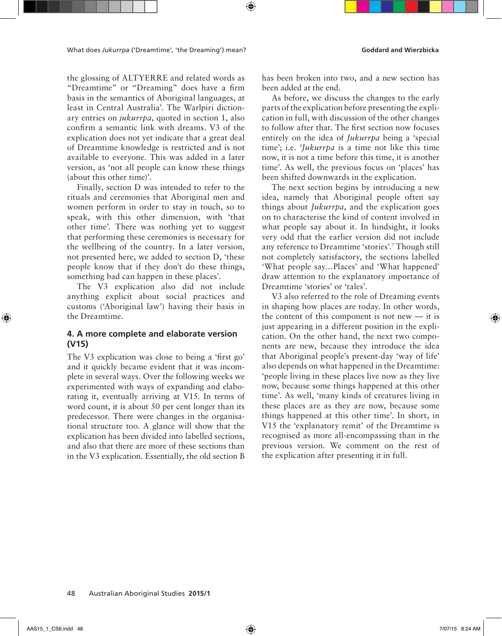the glossing of ALTYERRE and related words as "Dreamtime" or "Dreaming" does have a firm basis in the semantics of Aboriginal languages, at least in Central Australia'. The Warlpiri dictionary entries on *jukurrpa*, quoted in section 1, also confirm a semantic link with dreams. V3 of the explication does not yet indicate that a great deal of Dreamtime knowledge is restricted and is not available to everyone. This was added in a later version, as 'not all people can know these things (about this other time)'.

Finally, section D was intended to refer to the rituals and ceremonies that Aboriginal men and women perform in order to stay in touch, so to speak, with this other dimension, with 'that other time'. There was nothing yet to suggest that performing these ceremonies is necessary for the wellbeing of the country. In a later version, not presented here, we added to section D, 'these people know that if they don't do these things, something bad can happen in these places'.

The V3 explication also did not include anything explicit about social practices and customs ('Aboriginal law') having their basis in the Dreamtime.

# **4. A more complete and elaborate version (V15)**

The V3 explication was close to being a 'first go' and it quickly became evident that it was incomplete in several ways. Over the following weeks we experimented with ways of expanding and elaborating it, eventually arriving at V15. In terms of word count, it is about 50 per cent longer than its predecessor. There were changes in the organisational structure too. A glance will show that the explication has been divided into labelled sections, and also that there are more of these sections than in the V3 explication. Essentially, the old section B has been broken into two, and a new section has been added at the end.

As before, we discuss the changes to the early parts of the explication before presenting the explication in full, with discussion of the other changes to follow after that. The first section now focuses entirely on the idea of *Jukurrpa* being a 'special time'; i.e. '*Jukurrpa* is a time not like this time now, it is not a time before this time, it is another time'. As well, the previous focus on 'places' has been shifted downwards in the explication.

The next section begins by introducing a new idea, namely that Aboriginal people often say things about *Jukurrpa*, and the explication goes on to characterise the kind of content involved in what people say about it. In hindsight, it looks very odd that the earlier version did not include any reference to Dreamtime 'stories'.7 Though still not completely satisfactory, the sections labelled 'What people say…Places' and 'What happened' draw attention to the explanatory importance of Dreamtime 'stories' or 'tales'.

V3 also referred to the role of Dreaming events in shaping how places are today. In other words, the content of this component is not new — it is just appearing in a different position in the explication. On the other hand, the next two components are new, because they introduce the idea that Aboriginal people's present-day 'way of life' also depends on what happened in the Dreamtime: 'people living in these places live now as they live now, because some things happened at this other time'. As well, 'many kinds of creatures living in these places are as they are now, because some things happened at this other time'. In short, in V15 the 'explanatory remit' of the Dreamtime is recognised as more all-encompassing than in the previous version. We comment on the rest of the explication after presenting it in full.

↔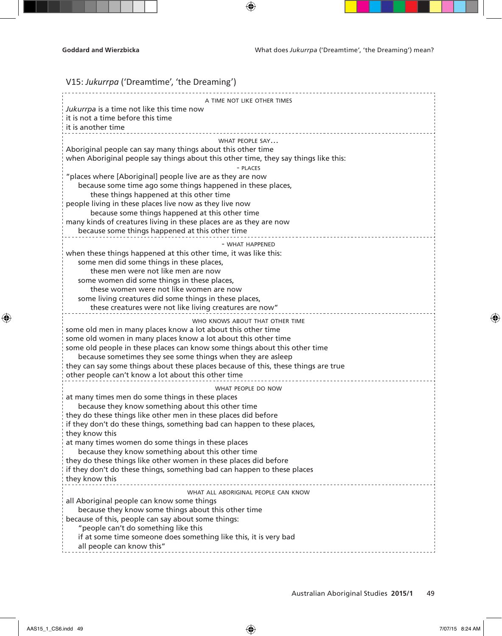| V15: Jukurrpa ('Dreamtime', 'the Dreaming')                                                                           |
|-----------------------------------------------------------------------------------------------------------------------|
| A TIME NOT LIKE OTHER TIMES                                                                                           |
| Jukurrpa is a time not like this time now                                                                             |
| it is not a time before this time                                                                                     |
| it is another time                                                                                                    |
| WHAT PEOPLE SAY                                                                                                       |
| Aboriginal people can say many things about this other time                                                           |
| when Aboriginal people say things about this other time, they say things like this:<br>- PLACES                       |
| "places where [Aboriginal] people live are as they are now                                                            |
| because some time ago some things happened in these places,                                                           |
| these things happened at this other time                                                                              |
| people living in these places live now as they live now                                                               |
| because some things happened at this other time<br>many kinds of creatures living in these places are as they are now |
| because some things happened at this other time                                                                       |
|                                                                                                                       |
| - WHAT HAPPENED<br>when these things happened at this other time, it was like this:                                   |
| some men did some things in these places,                                                                             |
| these men were not like men are now                                                                                   |
| some women did some things in these places,                                                                           |
| these women were not like women are now                                                                               |
| some living creatures did some things in these places,<br>these creatures were not like living creatures are now"     |
|                                                                                                                       |
| WHO KNOWS ABOUT THAT OTHER TIME<br>some old men in many places know a lot about this other time                       |
| some old women in many places know a lot about this other time                                                        |
| some old people in these places can know some things about this other time                                            |
| because sometimes they see some things when they are asleep                                                           |
| they can say some things about these places because of this, these things are true                                    |
| other people can't know a lot about this other time                                                                   |
| WHAT PEOPLE DO NOW                                                                                                    |
| at many times men do some things in these places<br>because they know something about this other time                 |
| they do these things like other men in these places did before                                                        |
| if they don't do these things, something bad can happen to these places,                                              |
| they know this                                                                                                        |
| at many times women do some things in these places                                                                    |
| because they know something about this other time<br>they do these things like other women in these places did before |
| if they don't do these things, something bad can happen to these places                                               |
| they know this                                                                                                        |
| WHAT ALL ABORIGINAL PEOPLE CAN KNOW                                                                                   |
| all Aboriginal people can know some things                                                                            |
| because they know some things about this other time                                                                   |
| because of this, people can say about some things:                                                                    |
| "people can't do something like this<br>if at some time someone does something like this, it is very bad              |
| all people can know this"                                                                                             |
|                                                                                                                       |

 $\bigoplus$ 

 $\bigoplus$ 

 $\bigoplus$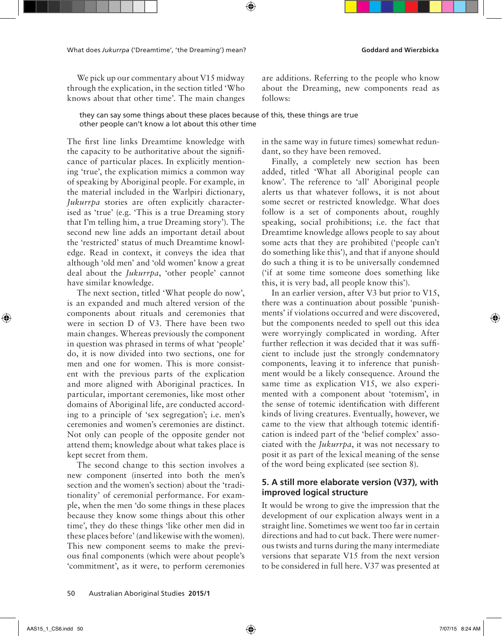What does *Jukurrpa* ('Dreamtime', 'the Dreaming') mean? **Goddard and Wierzbicka** 

We pick up our commentary about V15 midway through the explication, in the section titled 'Who knows about that other time'. The main changes are additions. Referring to the people who know about the Dreaming, new components read as follows:

they can say some things about these places because of this, these things are true other people can't know a lot about this other time

The first line links Dreamtime knowledge with the capacity to be authoritative about the significance of particular places. In explicitly mentioning 'true', the explication mimics a common way of speaking by Aboriginal people. For example, in the material included in the Warlpiri dictionary, *Jukurrpa* stories are often explicitly characterised as 'true' (e.g. 'This is a true Dreaming story that I'm telling him, a true Dreaming story'). The second new line adds an important detail about the 'restricted' status of much Dreamtime knowledge. Read in context, it conveys the idea that although 'old men' and 'old women' know a great deal about the *Jukurrpa*, 'other people' cannot have similar knowledge.

The next section, titled 'What people do now', is an expanded and much altered version of the components about rituals and ceremonies that were in section D of V3. There have been two main changes. Whereas previously the component in question was phrased in terms of what 'people' do, it is now divided into two sections, one for men and one for women. This is more consistent with the previous parts of the explication and more aligned with Aboriginal practices. In particular, important ceremonies, like most other domains of Aboriginal life, are conducted according to a principle of 'sex segregation'; i.e. men's ceremonies and women's ceremonies are distinct. Not only can people of the opposite gender not attend them; knowledge about what takes place is kept secret from them.

The second change to this section involves a new component (inserted into both the men's section and the women's section) about the 'traditionality' of ceremonial performance. For example, when the men 'do some things in these places because they know some things about this other time', they do these things 'like other men did in these places before' (and likewise with the women). This new component seems to make the previous final components (which were about people's 'commitment', as it were, to perform ceremonies

in the same way in future times) somewhat redundant, so they have been removed.

Finally, a completely new section has been added, titled 'What all Aboriginal people can know'. The reference to 'all' Aboriginal people alerts us that whatever follows, it is not about some secret or restricted knowledge. What does follow is a set of components about, roughly speaking, social prohibitions; i.e. the fact that Dreamtime knowledge allows people to say about some acts that they are prohibited ('people can't do something like this'), and that if anyone should do such a thing it is to be universally condemned ('if at some time someone does something like this, it is very bad, all people know this').

In an earlier version, after V3 but prior to V15, there was a continuation about possible 'punishments' if violations occurred and were discovered, but the components needed to spell out this idea were worryingly complicated in wording. After further reflection it was decided that it was sufficient to include just the strongly condemnatory components, leaving it to inference that punishment would be a likely consequence. Around the same time as explication V15, we also experimented with a component about 'totemism', in the sense of totemic identification with different kinds of living creatures. Eventually, however, we came to the view that although totemic identification is indeed part of the 'belief complex' associated with the *Jukurrpa*, it was not necessary to posit it as part of the lexical meaning of the sense of the word being explicated (see section 8).

# **5. A still more elaborate version (V37), with improved logical structure**

It would be wrong to give the impression that the development of our explication always went in a straight line. Sometimes we went too far in certain directions and had to cut back. There were numerous twists and turns during the many intermediate versions that separate V15 from the next version to be considered in full here. V37 was presented at

↔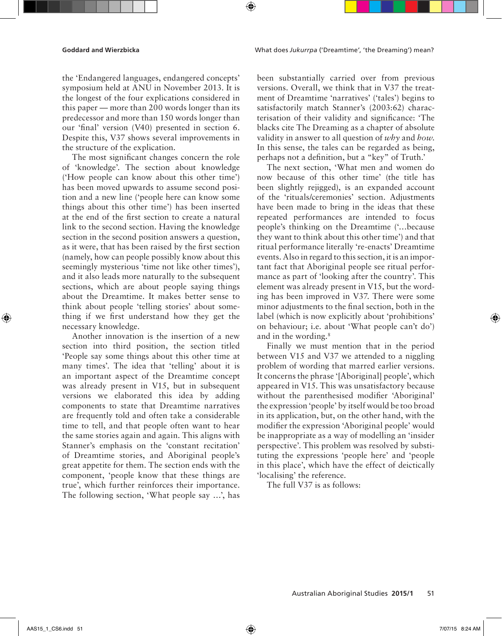**Goddard and Wierzbicka** What does *Jukurrpa* ('Dreamtime', 'the Dreaming') mean?

the 'Endangered languages, endangered concepts' symposium held at ANU in November 2013. It is the longest of the four explications considered in this paper — more than 200 words longer than its predecessor and more than 150 words longer than our 'final' version (V40) presented in section 6. Despite this, V37 shows several improvements in the structure of the explication.

The most significant changes concern the role of 'knowledge'. The section about knowledge ('How people can know about this other time') has been moved upwards to assume second position and a new line ('people here can know some things about this other time') has been inserted at the end of the first section to create a natural link to the second section. Having the knowledge section in the second position answers a question, as it were, that has been raised by the first section (namely, how can people possibly know about this seemingly mysterious 'time not like other times'), and it also leads more naturally to the subsequent sections, which are about people saying things about the Dreamtime. It makes better sense to think about people 'telling stories' about something if we first understand how they get the necessary knowledge.

Another innovation is the insertion of a new section into third position, the section titled 'People say some things about this other time at many times'. The idea that 'telling' about it is an important aspect of the Dreamtime concept was already present in V15, but in subsequent versions we elaborated this idea by adding components to state that Dreamtime narratives are frequently told and often take a considerable time to tell, and that people often want to hear the same stories again and again. This aligns with Stanner's emphasis on the 'constant recitation' of Dreamtime stories, and Aboriginal people's great appetite for them. The section ends with the component, 'people know that these things are true', which further reinforces their importance. The following section, 'What people say …', has been substantially carried over from previous versions. Overall, we think that in V37 the treatment of Dreamtime 'narratives' ('tales') begins to satisfactorily match Stanner's (2003:62) characterisation of their validity and significance: 'The blacks cite The Dreaming as a chapter of absolute validity in answer to all question of *why* and *how*. In this sense, the tales can be regarded as being, perhaps not a definition, but a "key" of Truth.'

The next section, 'What men and women do now because of this other time' (the title has been slightly rejigged), is an expanded account of the 'rituals/ceremonies' section. Adjustments have been made to bring in the ideas that these repeated performances are intended to focus people's thinking on the Dreamtime ('…because they want to think about this other time') and that ritual performance literally 're-enacts' Dreamtime events. Also in regard to this section, it is an important fact that Aboriginal people see ritual performance as part of 'looking after the country'. This element was already present in V15, but the wording has been improved in V37. There were some minor adjustments to the final section, both in the label (which is now explicitly about 'prohibitions' on behaviour; i.e. about 'What people can't do') and in the wording.<sup>8</sup>

Finally we must mention that in the period between V15 and V37 we attended to a niggling problem of wording that marred earlier versions. It concerns the phrase '[Aboriginal] people', which appeared in V15. This was unsatisfactory because without the parenthesised modifier 'Aboriginal' the expression 'people' by itself would be too broad in its application, but, on the other hand, with the modifier the expression 'Aboriginal people' would be inappropriate as a way of modelling an 'insider perspective'. This problem was resolved by substituting the expressions 'people here' and 'people in this place', which have the effect of deictically 'localising' the reference.

The full V37 is as follows:

↔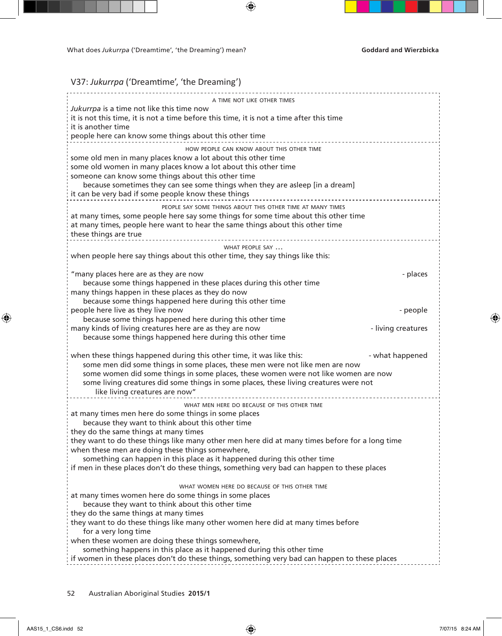# V37: *Jukurrpa* ('Dreamtime', 'the Dreaming')

| A TIME NOT LIKE OTHER TIMES                                                                                                                                             |                    |
|-------------------------------------------------------------------------------------------------------------------------------------------------------------------------|--------------------|
| Jukurrpa is a time not like this time now                                                                                                                               |                    |
| it is not this time, it is not a time before this time, it is not a time after this time                                                                                |                    |
| it is another time<br>people here can know some things about this other time                                                                                            |                    |
|                                                                                                                                                                         |                    |
| HOW PEOPLE CAN KNOW ABOUT THIS OTHER TIME<br>some old men in many places know a lot about this other time                                                               |                    |
| some old women in many places know a lot about this other time                                                                                                          |                    |
| someone can know some things about this other time                                                                                                                      |                    |
| because sometimes they can see some things when they are asleep [in a dream]                                                                                            |                    |
| it can be very bad if some people know these things                                                                                                                     |                    |
| PEOPLE SAY SOME THINGS ABOUT THIS OTHER TIME AT MANY TIMES                                                                                                              |                    |
| at many times, some people here say some things for some time about this other time                                                                                     |                    |
| at many times, people here want to hear the same things about this other time<br>these things are true                                                                  |                    |
|                                                                                                                                                                         |                    |
| WHAT PEOPLE SAY<br>when people here say things about this other time, they say things like this:                                                                        |                    |
|                                                                                                                                                                         |                    |
| "many places here are as they are now                                                                                                                                   | - places           |
| because some things happened in these places during this other time                                                                                                     |                    |
| many things happen in these places as they do now<br>because some things happened here during this other time                                                           |                    |
| people here live as they live now                                                                                                                                       | - people           |
| because some things happened here during this other time                                                                                                                |                    |
| many kinds of living creatures here are as they are now                                                                                                                 | - living creatures |
| because some things happened here during this other time                                                                                                                |                    |
| when these things happened during this other time, it was like this:                                                                                                    | - what happened    |
| some men did some things in some places, these men were not like men are now                                                                                            |                    |
| some women did some things in some places, these women were not like women are now                                                                                      |                    |
| some living creatures did some things in some places, these living creatures were not                                                                                   |                    |
| like living creatures are now"                                                                                                                                          |                    |
| WHAT MEN HERE DO BECAUSE OF THIS OTHER TIME<br>at many times men here do some things in some places                                                                     |                    |
| because they want to think about this other time                                                                                                                        |                    |
| they do the same things at many times                                                                                                                                   |                    |
| they want to do these things like many other men here did at many times before for a long time                                                                          |                    |
| when these men are doing these things somewhere,                                                                                                                        |                    |
| something can happen in this place as it happened during this other time<br>if men in these places don't do these things, something very bad can happen to these places |                    |
|                                                                                                                                                                         |                    |
| WHAT WOMEN HERE DO BECAUSE OF THIS OTHER TIME                                                                                                                           |                    |
| at many times women here do some things in some places                                                                                                                  |                    |
| because they want to think about this other time                                                                                                                        |                    |
| they do the same things at many times<br>they want to do these things like many other women here did at many times before                                               |                    |
| for a very long time                                                                                                                                                    |                    |
| when these women are doing these things somewhere,                                                                                                                      |                    |
| something happens in this place as it happened during this other time                                                                                                   |                    |
| if women in these places don't do these things, something very bad can happen to these places                                                                           |                    |

 $\bigoplus$ 

52 Australian Aboriginal Studies **2015/1**

 $\bigoplus$ 

 $\bigoplus$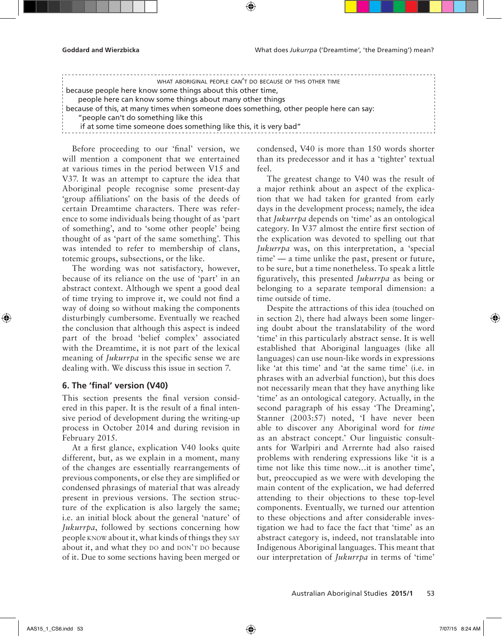| because people here know some things about this other time,                            |  |
|----------------------------------------------------------------------------------------|--|
|                                                                                        |  |
| people here can know some things about many other things                               |  |
| because of this, at many times when someone does something, other people here can say: |  |
| "people can't do something like this                                                   |  |
| if at some time someone does something like this, it is very bad"                      |  |

Before proceeding to our 'final' version, we will mention a component that we entertained at various times in the period between V15 and V37. It was an attempt to capture the idea that Aboriginal people recognise some present-day 'group affiliations' on the basis of the deeds of certain Dreamtime characters. There was reference to some individuals being thought of as 'part of something', and to 'some other people' being thought of as 'part of the same something'. This was intended to refer to membership of clans, totemic groups, subsections, or the like.

The wording was not satisfactory, however, because of its reliance on the use of 'part' in an abstract context. Although we spent a good deal of time trying to improve it, we could not find a way of doing so without making the components disturbingly cumbersome. Eventually we reached the conclusion that although this aspect is indeed part of the broad 'belief complex' associated with the Dreamtime, it is not part of the lexical meaning of *Jukurrpa* in the specific sense we are dealing with. We discuss this issue in section 7.

### **6. The 'final' version (V40)**

This section presents the final version considered in this paper. It is the result of a final intensive period of development during the writing-up process in October 2014 and during revision in February 2015.

At a first glance, explication V40 looks quite different, but, as we explain in a moment, many of the changes are essentially rearrangements of previous components, or else they are simplified or condensed phrasings of material that was already present in previous versions. The section structure of the explication is also largely the same; i.e. an initial block about the general 'nature' of *Jukurrpa*, followed by sections concerning how people know about it, what kinds of things they say about it, and what they DO and DON'T DO because of it. Due to some sections having been merged or condensed, V40 is more than 150 words shorter than its predecessor and it has a 'tighter' textual feel.

The greatest change to V40 was the result of a major rethink about an aspect of the explication that we had taken for granted from early days in the development process; namely, the idea that *Jukurrpa* depends on 'time' as an ontological category. In V37 almost the entire first section of the explication was devoted to spelling out that *Jukurrpa* was, on this interpretation, a 'special time' — a time unlike the past, present or future, to be sure, but a time nonetheless. To speak a little figuratively, this presented *Jukurrpa* as being or belonging to a separate temporal dimension: a time outside of time.

Despite the attractions of this idea (touched on in section 2), there had always been some lingering doubt about the translatability of the word 'time' in this particularly abstract sense. It is well established that Aboriginal languages (like all languages) can use noun-like words in expressions like 'at this time' and 'at the same time' (i.e. in phrases with an adverbial function), but this does not necessarily mean that they have anything like 'time' as an ontological category. Actually, in the second paragraph of his essay 'The Dreaming', Stanner (2003:57) noted, 'I have never been able to discover any Aboriginal word for *time* as an abstract concept.' Our linguistic consultants for Warlpiri and Arrernte had also raised problems with rendering expressions like 'it is a time not like this time now…it is another time', but, preoccupied as we were with developing the main content of the explication, we had deferred attending to their objections to these top-level components. Eventually, we turned our attention to these objections and after considerable investigation we had to face the fact that 'time' as an abstract category is, indeed, not translatable into Indigenous Aboriginal languages. This meant that our interpretation of *Jukurrpa* in terms of 'time'

↔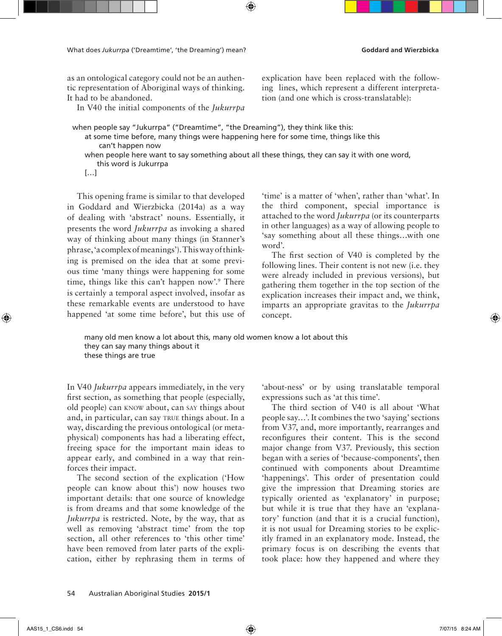as an ontological category could not be an authentic representation of Aboriginal ways of thinking. It had to be abandoned.

In V40 the initial components of the *Jukurrpa*

explication have been replaced with the following lines, which represent a different interpretation (and one which is cross-translatable):

when people say "Jukurrpa" ("Dreamtime", "the Dreaming"), they think like this: at some time before, many things were happening here for some time, things like this can't happen now when people here want to say something about all these things, they can say it with one word,

this word is Jukurrpa

[…]

This opening frame is similar to that developed in Goddard and Wierzbicka (2014a) as a way of dealing with 'abstract' nouns. Essentially, it presents the word *Jukurrpa* as invoking a shared way of thinking about many things (in Stanner's phrase, 'a complex of meanings'). This way of thinking is premised on the idea that at some previous time 'many things were happening for some time, things like this can't happen now'.9 There is certainly a temporal aspect involved, insofar as these remarkable events are understood to have happened 'at some time before', but this use of

'time' is a matter of 'when', rather than 'what'. In the third component, special importance is attached to the word *Jukurrpa* (or its counterparts in other languages) as a way of allowing people to 'say something about all these things…with one word'.

The first section of V40 is completed by the following lines. Their content is not new (i.e. they were already included in previous versions), but gathering them together in the top section of the explication increases their impact and, we think, imparts an appropriate gravitas to the *Jukurrpa* concept.

many old men know a lot about this, many old women know a lot about this they can say many things about it these things are true

In V40 *Jukurrpa* appears immediately, in the very first section, as something that people (especially, old people) can know about, can say things about and, in particular, can say true things about. In a way, discarding the previous ontological (or metaphysical) components has had a liberating effect, freeing space for the important main ideas to appear early, and combined in a way that reinforces their impact.

The second section of the explication ('How people can know about this') now houses two important details: that one source of knowledge is from dreams and that some knowledge of the *Jukurrpa* is restricted. Note, by the way, that as well as removing 'abstract time' from the top section, all other references to 'this other time' have been removed from later parts of the explication, either by rephrasing them in terms of

'about-ness' or by using translatable temporal expressions such as 'at this time'.

The third section of V40 is all about 'What people say…'. It combines the two 'saying' sections from V37, and, more importantly, rearranges and reconfigures their content. This is the second major change from V37. Previously, this section began with a series of 'because-components', then continued with components about Dreamtime 'happenings'. This order of presentation could give the impression that Dreaming stories are typically oriented as 'explanatory' in purpose; but while it is true that they have an 'explanatory' function (and that it is a crucial function), it is not usual for Dreaming stories to be explicitly framed in an explanatory mode. Instead, the primary focus is on describing the events that took place: how they happened and where they

↔

↔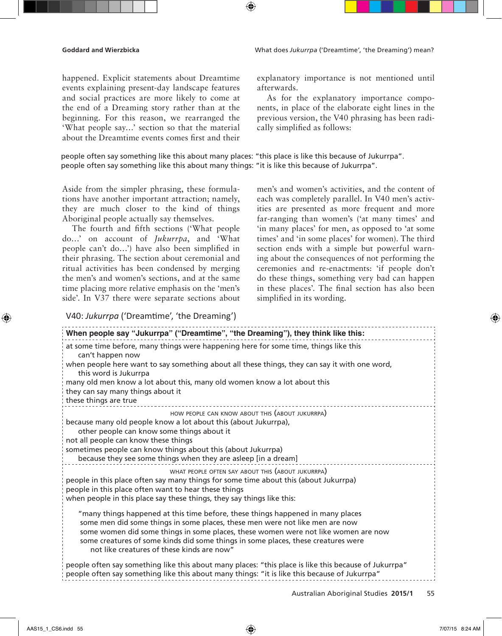happened. Explicit statements about Dreamtime events explaining present-day landscape features and social practices are more likely to come at the end of a Dreaming story rather than at the beginning. For this reason, we rearranged the 'What people say…' section so that the material about the Dreamtime events comes first and their explanatory importance is not mentioned until afterwards.

As for the explanatory importance components, in place of the elaborate eight lines in the previous version, the V40 phrasing has been radically simplified as follows:

people often say something like this about many places: "this place is like this because of Jukurrpa". people often say something like this about many things: "it is like this because of Jukurrpa".

⊕

Aside from the simpler phrasing, these formulations have another important attraction; namely, they are much closer to the kind of things Aboriginal people actually say themselves.

The fourth and fifth sections ('What people do…' on account of *Jukurrpa*, and 'What people can't do…') have also been simplified in their phrasing. The section about ceremonial and ritual activities has been condensed by merging the men's and women's sections, and at the same time placing more relative emphasis on the 'men's side'. In V37 there were separate sections about men's and women's activities, and the content of each was completely parallel. In V40 men's activities are presented as more frequent and more far-ranging than women's ('at many times' and 'in many places' for men, as opposed to 'at some times' and 'in some places' for women). The third section ends with a simple but powerful warning about the consequences of not performing the ceremonies and re-enactments: 'if people don't do these things, something very bad can happen in these places'. The final section has also been simplified in its wording.

# V40: *Jukurrpa* ('Dreamtime', 'the Dreaming')

| When people say "Jukurrpa" ("Dreamtime", "the Dreaming"), they think like this:                                                                                                                                                                                                                                                                                                          |
|------------------------------------------------------------------------------------------------------------------------------------------------------------------------------------------------------------------------------------------------------------------------------------------------------------------------------------------------------------------------------------------|
| at some time before, many things were happening here for some time, things like this<br>can't happen now                                                                                                                                                                                                                                                                                 |
| when people here want to say something about all these things, they can say it with one word,<br>this word is Jukurrpa                                                                                                                                                                                                                                                                   |
| many old men know a lot about this, many old women know a lot about this<br>they can say many things about it                                                                                                                                                                                                                                                                            |
| these things are true                                                                                                                                                                                                                                                                                                                                                                    |
| HOW PEOPLE CAN KNOW ABOUT THIS (ABOUT JUKURRPA)<br>because many old people know a lot about this (about Jukurrpa),<br>other people can know some things about it<br>not all people can know these things                                                                                                                                                                                 |
| sometimes people can know things about this (about Jukurrpa)<br>because they see some things when they are asleep [in a dream]                                                                                                                                                                                                                                                           |
| WHAT PEOPLE OFTEN SAY ABOUT THIS (ABOUT JUKURRPA)<br>people in this place often say many things for some time about this (about Jukurrpa)<br>people in this place often want to hear these things<br>when people in this place say these things, they say things like this:                                                                                                              |
| "many things happened at this time before, these things happened in many places<br>some men did some things in some places, these men were not like men are now<br>some women did some things in some places, these women were not like women are now<br>some creatures of some kinds did some things in some places, these creatures were<br>not like creatures of these kinds are now" |
| "people often say something like this about many places: "this place is like this because of Jukurrpa<br>people often say something like this about many things: "it is like this because of Jukurrpa"                                                                                                                                                                                   |

Australian Aboriginal Studies **2015/1** 55

↔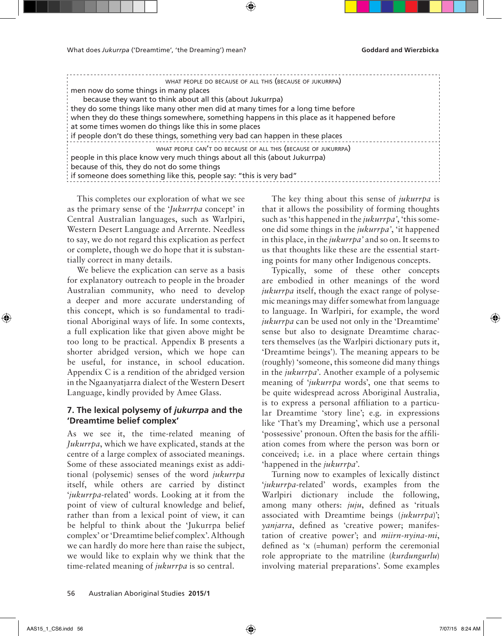| WHAT PEOPLE DO BECAUSE OF ALL THIS (BECAUSE OF JUKURRPA)                                   |
|--------------------------------------------------------------------------------------------|
| men now do some things in many places                                                      |
| because they want to think about all this (about Jukurrpa)                                 |
| they do some things like many other men did at many times for a long time before           |
| when they do these things somewhere, something happens in this place as it happened before |
| at some times women do things like this in some places                                     |
| if people don't do these things, something very bad can happen in these places             |
| WHAT PEOPLE CAN'T DO BECAUSE OF ALL THIS (BECAUSE OF JUKURRPA)                             |
| people in this place know very much things about all this (about Jukurrpa)                 |
| because of this, they do not do some things                                                |
| if someone does something like this, people say: "this is very bad"                        |
|                                                                                            |

This completes our exploration of what we see as the primary sense of the '*Jukurrpa* concept' in Central Australian languages, such as Warlpiri, Western Desert Language and Arrernte. Needless to say, we do not regard this explication as perfect or complete, though we do hope that it is substantially correct in many details.

We believe the explication can serve as a basis for explanatory outreach to people in the broader Australian community, who need to develop a deeper and more accurate understanding of this concept, which is so fundamental to traditional Aboriginal ways of life. In some contexts, a full explication like that given above might be too long to be practical. Appendix B presents a shorter abridged version, which we hope can be useful, for instance, in school education. Appendix C is a rendition of the abridged version in the Ngaanyatjarra dialect of the Western Desert Language, kindly provided by Amee Glass.

## **7. The lexical polysemy of** *jukurrpa* **and the 'Dreamtime belief complex'**

As we see it, the time-related meaning of *Jukurrpa*, which we have explicated, stands at the centre of a large complex of associated meanings. Some of these associated meanings exist as additional (polysemic) senses of the word *jukurrpa* itself, while others are carried by distinct '*jukurrpa*-related' words. Looking at it from the point of view of cultural knowledge and belief, rather than from a lexical point of view, it can be helpful to think about the 'Jukurrpa belief complex' or 'Dreamtime belief complex'. Although we can hardly do more here than raise the subject, we would like to explain why we think that the time-related meaning of *jukurrpa* is so central.

The key thing about this sense of *jukurrpa* is that it allows the possibility of forming thoughts such as 'this happened in the *jukurrpa'*, 'this someone did some things in the *jukurrpa'*, 'it happened in this place, in the *jukurrpa'* and so on. It seems to us that thoughts like these are the essential starting points for many other Indigenous concepts.

Typically, some of these other concepts are embodied in other meanings of the word *jukurrpa* itself, though the exact range of polysemic meanings may differ somewhat from language to language. In Warlpiri, for example, the word *jukurrpa* can be used not only in the 'Dreamtime' sense but also to designate Dreamtime characters themselves (as the Warlpiri dictionary puts it, 'Dreamtime beings'). The meaning appears to be (roughly) 'someone, this someone did many things in the *jukurrpa*'. Another example of a polysemic meaning of '*jukurrpa* words', one that seems to be quite widespread across Aboriginal Australia, is to express a personal affiliation to a particular Dreamtime 'story line'; e.g. in expressions like 'That's my Dreaming', which use a personal 'possessive' pronoun. Often the basis for the affiliation comes from where the person was born or conceived; i.e. in a place where certain things 'happened in the *jukurrpa*'.

Turning now to examples of lexically distinct '*jukurrpa*-related' words, examples from the Warlpiri dictionary include the following, among many others: *juju*, defined as 'rituals associated with Dreamtime beings (*jukurrpa*)'; *yanjarra*, defined as 'creative power; manifestation of creative power'; and *miirn-nyina-mi*, defined as 'x (=human) perform the ceremonial role appropriate to the matriline (*kurdungurlu*) involving material preparations'. Some examples

AAS15\_1\_CS6.indd 56 7/07/15 8:24 AM

↔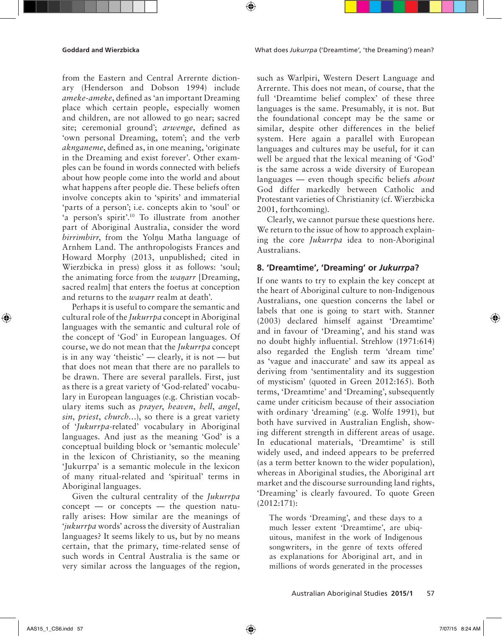**Goddard and Wierzbicka** What does *Jukurrpa* ('Dreamtime', 'the Dreaming') mean?

from the Eastern and Central Arrernte dictionary (Henderson and Dobson 1994) include *ameke-ameke*, defined as 'an important Dreaming place which certain people, especially women and children, are not allowed to go near; sacred site; ceremonial ground'; *arwenge*, defined as 'own personal Dreaming, totem'; and the verb *aknganeme*, defined as, in one meaning, 'originate in the Dreaming and exist forever'. Other examples can be found in words connected with beliefs about how people come into the world and about what happens after people die. These beliefs often involve concepts akin to 'spirits' and immaterial 'parts of a person'; i.e. concepts akin to 'soul' or 'a person's spirit'.<sup>10</sup> To illustrate from another part of Aboriginal Australia, consider the word *birrimbirr*, from the Yolŋu Matha language of Arnhem Land. The anthropologists Frances and Howard Morphy (2013, unpublished; cited in Wierzbicka in press) gloss it as follows: 'soul; the animating force from the *waŋarr* [Dreaming, sacred realm] that enters the foetus at conception and returns to the *wanarr* realm at death'.

Perhaps it is useful to compare the semantic and cultural role of the *Jukurrpa* concept in Aboriginal languages with the semantic and cultural role of the concept of 'God' in European languages. Of course, we do not mean that the *Jukurrpa* concept is in any way 'theistic' — clearly, it is not — but that does not mean that there are no parallels to be drawn. There are several parallels. First, just as there is a great variety of 'God-related' vocabulary in European languages (e.g. Christian vocabulary items such as *prayer*, *heaven*, *hell*, *angel*, *sin*, *priest*, *church*…), so there is a great variety of '*Jukurrpa*-related' vocabulary in Aboriginal languages. And just as the meaning 'God' is a conceptual building block or 'semantic molecule' in the lexicon of Christianity, so the meaning 'Jukurrpa' is a semantic molecule in the lexicon of many ritual-related and 'spiritual' terms in Aboriginal languages.

Given the cultural centrality of the *Jukurrpa*  $concept$  — or concepts — the question naturally arises: How similar are the meanings of '*jukurrpa* words' across the diversity of Australian languages? It seems likely to us, but by no means certain, that the primary, time-related sense of such words in Central Australia is the same or very similar across the languages of the region, such as Warlpiri, Western Desert Language and Arrernte. This does not mean, of course, that the full 'Dreamtime belief complex' of these three languages is the same. Presumably, it is not. But the foundational concept may be the same or similar, despite other differences in the belief system. Here again a parallel with European languages and cultures may be useful, for it can well be argued that the lexical meaning of 'God' is the same across a wide diversity of European languages — even though specific beliefs *about* God differ markedly between Catholic and Protestant varieties of Christianity (cf. Wierzbicka 2001, forthcoming).

Clearly, we cannot pursue these questions here. We return to the issue of how to approach explaining the core *Jukurrpa* idea to non-Aboriginal Australians.

### **8. 'Dreamtime', 'Dreaming' or** *Jukurrpa***?**

If one wants to try to explain the key concept at the heart of Aboriginal culture to non-Indigenous Australians, one question concerns the label or labels that one is going to start with. Stanner (2003) declared himself against 'Dreamtime' and in favour of 'Dreaming', and his stand was no doubt highly influential. Strehlow (1971:614) also regarded the English term 'dream time' as 'vague and inaccurate' and saw its appeal as deriving from 'sentimentality and its suggestion of mysticism' (quoted in Green 2012:165). Both terms, 'Dreamtime' and 'Dreaming', subsequently came under criticism because of their association with ordinary 'dreaming' (e.g. Wolfe 1991), but both have survived in Australian English, showing different strength in different areas of usage. In educational materials, 'Dreamtime' is still widely used, and indeed appears to be preferred (as a term better known to the wider population), whereas in Aboriginal studies, the Aboriginal art market and the discourse surrounding land rights, 'Dreaming' is clearly favoured. To quote Green (2012:171):

The words 'Dreaming', and these days to a much lesser extent 'Dreamtime', are ubiquitous, manifest in the work of Indigenous songwriters, in the genre of texts offered as explanations for Aboriginal art, and in millions of words generated in the processes

↔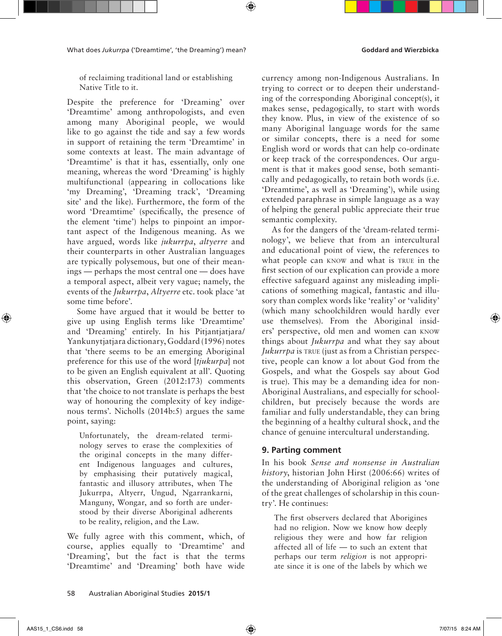What does *Jukurrpa* ('Dreamtime', 'the Dreaming') mean? **Goddard and Wierzbicka** 

of reclaiming traditional land or establishing Native Title to it.

Despite the preference for 'Dreaming' over 'Dreamtime' among anthropologists, and even among many Aboriginal people, we would like to go against the tide and say a few words in support of retaining the term 'Dreamtime' in some contexts at least. The main advantage of 'Dreamtime' is that it has, essentially, only one meaning, whereas the word 'Dreaming' is highly multifunctional (appearing in collocations like 'my Dreaming', 'Dreaming track', 'Dreaming site' and the like). Furthermore, the form of the word 'Dreamtime' (specifically, the presence of the element 'time') helps to pinpoint an important aspect of the Indigenous meaning. As we have argued, words like *jukurrpa*, *altyerre* and their counterparts in other Australian languages are typically polysemous, but one of their meanings — perhaps the most central one — does have a temporal aspect, albeit very vague; namely, the events of the *Jukurrpa*, *Altyerre* etc. took place 'at some time before'.

Some have argued that it would be better to give up using English terms like 'Dreamtime' and 'Dreaming' entirely. In his Pitjantjatjara/ Yankunytjatjara dictionary, Goddard (1996) notes that 'there seems to be an emerging Aboriginal preference for this use of the word [*tjukurpa*] not to be given an English equivalent at all'. Quoting this observation, Green (2012:173) comments that 'the choice to not translate is perhaps the best way of honouring the complexity of key indigenous terms'. Nicholls (2014b:5) argues the same point, saying:

Unfortunately, the dream-related terminology serves to erase the complexities of the original concepts in the many different Indigenous languages and cultures, by emphasising their putatively magical, fantastic and illusory attributes, when The Jukurrpa, Altyerr, Ungud, Ngarrankarni, Manguny, Wongar, and so forth are understood by their diverse Aboriginal adherents to be reality, religion, and the Law.

We fully agree with this comment, which, of course, applies equally to 'Dreamtime' and 'Dreaming', but the fact is that the terms 'Dreamtime' and 'Dreaming' both have wide

currency among non-Indigenous Australians. In trying to correct or to deepen their understanding of the corresponding Aboriginal concept(s), it makes sense, pedagogically, to start with words they know. Plus, in view of the existence of so many Aboriginal language words for the same or similar concepts, there is a need for some English word or words that can help co-ordinate or keep track of the correspondences. Our argument is that it makes good sense, both semantically and pedagogically, to retain both words (i.e. 'Dreamtime', as well as 'Dreaming'), while using extended paraphrase in simple language as a way of helping the general public appreciate their true semantic complexity.

As for the dangers of the 'dream-related terminology', we believe that from an intercultural and educational point of view, the references to what people can KNOW and what is TRUE in the first section of our explication can provide a more effective safeguard against any misleading implications of something magical, fantastic and illusory than complex words like 'reality' or 'validity' (which many schoolchildren would hardly ever use themselves). From the Aboriginal insiders' perspective, old men and women can know things about *Jukurrpa* and what they say about *Jukurrpa* is TRUE (just as from a Christian perspective, people can know a lot about God from the Gospels, and what the Gospels say about God is true). This may be a demanding idea for non-Aboriginal Australians, and especially for schoolchildren, but precisely because the words are familiar and fully understandable, they can bring the beginning of a healthy cultural shock, and the chance of genuine intercultural understanding.

## **9. Parting comment**

In his book *Sense and nonsense in Australian history*, historian John Hirst (2006:66) writes of the understanding of Aboriginal religion as 'one of the great challenges of scholarship in this country'. He continues:

The first observers declared that Aborigines had no religion. Now we know how deeply religious they were and how far religion affected all of life — to such an extent that perhaps our term *religion* is not appropriate since it is one of the labels by which we

↔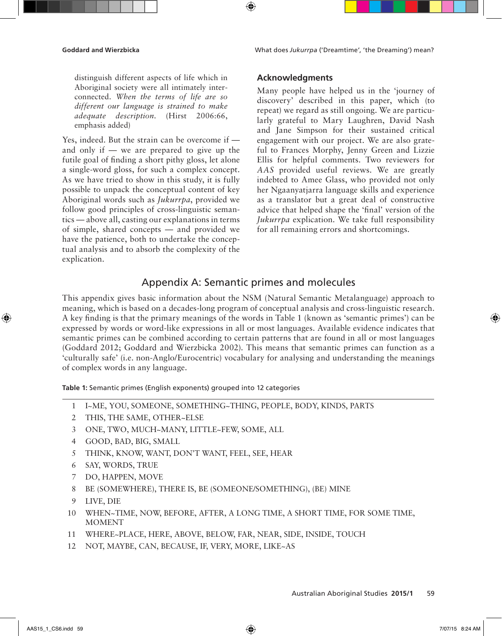**Goddard and Wierzbicka** What does *Jukurrpa* ('Dreamtime', 'the Dreaming') mean?

distinguish different aspects of life which in Aboriginal society were all intimately interconnected. *When the terms of life are so different our language is strained to make adequate description*. (Hirst 2006:66, emphasis added)

Yes, indeed. But the strain can be overcome if and only if — we are prepared to give up the futile goal of finding a short pithy gloss, let alone a single-word gloss, for such a complex concept. As we have tried to show in this study, it is fully possible to unpack the conceptual content of key Aboriginal words such as *Jukurrpa*, provided we follow good principles of cross-linguistic semantics — above all, casting our explanations in terms of simple, shared concepts — and provided we have the patience, both to undertake the conceptual analysis and to absorb the complexity of the explication.

### **Acknowledgments**

Many people have helped us in the 'journey of discovery' described in this paper, which (to repeat) we regard as still ongoing. We are particularly grateful to Mary Laughren, David Nash and Jane Simpson for their sustained critical engagement with our project. We are also grateful to Frances Morphy, Jenny Green and Lizzie Ellis for helpful comments. Two reviewers for *AAS* provided useful reviews. We are greatly indebted to Amee Glass, who provided not only her Ngaanyatjarra language skills and experience as a translator but a great deal of constructive advice that helped shape the 'final' version of the *Jukurrpa* explication. We take full responsibility for all remaining errors and shortcomings.

# Appendix A: Semantic primes and molecules

 $\bigoplus$ 

This appendix gives basic information about the NSM (Natural Semantic Metalanguage) approach to meaning, which is based on a decades-long program of conceptual analysis and cross-linguistic research. A key finding is that the primary meanings of the words in Table 1 (known as 'semantic primes') can be expressed by words or word-like expressions in all or most languages. Available evidence indicates that semantic primes can be combined according to certain patterns that are found in all or most languages (Goddard 2012; Goddard and Wierzbicka 2002). This means that semantic primes can function as a 'culturally safe' (i.e. non-Anglo/Eurocentric) vocabulary for analysing and understanding the meanings of complex words in any language.

**Table 1:** Semantic primes (English exponents) grouped into 12 categories

- 1 I~ME, YOU, SOMEONE, SOMETHING~THING, PEOPLE, BODY, KINDS, PARTS
- 2 THIS, THE SAME, OTHER~ELSE
- 3 ONE, TWO, MUCH~MANY, LITTLE~FEW, SOME, ALL
- 4 GOOD, BAD, BIG, SMALL
- 5 THINK, KNOW, WANT, DON'T WANT, FEEL, SEE, HEAR
- 6 SAY, WORDS, TRUE
- 7 DO, HAPPEN, MOVE
- 8 BE (SOMEWHERE), THERE IS, BE (SOMEONE/SOMETHING), (BE) MINE
- 9 LIVE, DIE
- 10 WHEN~TIME, NOW, BEFORE, AFTER, A LONG TIME, A SHORT TIME, FOR SOME TIME, MOMENT
- 11 WHERE~PLACE, HERE, ABOVE, BELOW, FAR, NEAR, SIDE, INSIDE, TOUCH
- 12 NOT, MAYBE, CAN, BECAUSE, IF, VERY, MORE, LIKE~AS

↔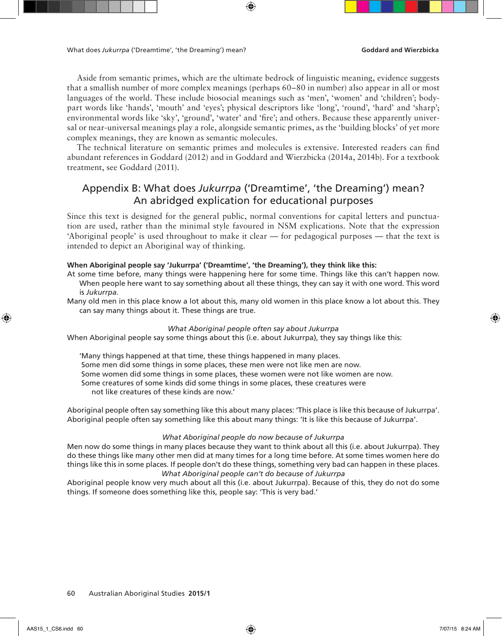Aside from semantic primes, which are the ultimate bedrock of linguistic meaning, evidence suggests that a smallish number of more complex meanings (perhaps 60–80 in number) also appear in all or most languages of the world. These include biosocial meanings such as 'men', 'women' and 'children'; bodypart words like 'hands', 'mouth' and 'eyes'; physical descriptors like 'long', 'round', 'hard' and 'sharp'; environmental words like 'sky', 'ground', 'water' and 'fire'; and others. Because these apparently universal or near-universal meanings play a role, alongside semantic primes, as the 'building blocks' of yet more complex meanings, they are known as semantic molecules.

The technical literature on semantic primes and molecules is extensive. Interested readers can find abundant references in Goddard (2012) and in Goddard and Wierzbicka (2014a, 2014b). For a textbook treatment, see Goddard (2011).

# Appendix B: What does *Jukurrpa* ('Dreamtime', 'the Dreaming') mean? An abridged explication for educational purposes

Since this text is designed for the general public, normal conventions for capital letters and punctuation are used, rather than the minimal style favoured in NSM explications. Note that the expression 'Aboriginal people' is used throughout to make it clear — for pedagogical purposes — that the text is intended to depict an Aboriginal way of thinking.

### **When Aboriginal people say 'Jukurrpa' ('Dreamtime', 'the Dreaming'), they think like this:**

- At some time before, many things were happening here for some time. Things like this can't happen now. When people here want to say something about all these things, they can say it with one word. This word is *Jukurrpa.*
- Many old men in this place know a lot about this, many old women in this place know a lot about this. They can say many things about it. These things are true.

### *What Aboriginal people often say about Jukurrpa*

When Aboriginal people say some things about this (i.e. about Jukurrpa), they say things like this:

'Many things happened at that time, these things happened in many places. Some men did some things in some places, these men were not like men are now. Some women did some things in some places, these women were not like women are now. Some creatures of some kinds did some things in some places, these creatures were not like creatures of these kinds are now.'

Aboriginal people often say something like this about many places: 'This place is like this because of Jukurrpa'. Aboriginal people often say something like this about many things: 'It is like this because of Jukurrpa'.

### *What Aboriginal people do now because of Jukurrpa*

Men now do some things in many places because they want to think about all this (i.e. about Jukurrpa). They do these things like many other men did at many times for a long time before. At some times women here do things like this in some places. If people don't do these things, something very bad can happen in these places. *What Aboriginal people can't do because of Jukurrpa*

Aboriginal people know very much about all this (i.e. about Jukurrpa). Because of this, they do not do some things. If someone does something like this, people say: 'This is very bad.'

60 Australian Aboriginal Studies **2015/1**

↔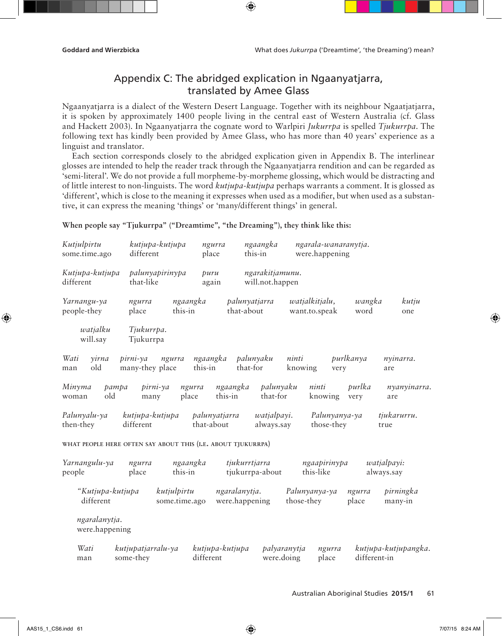# Appendix C: The abridged explication in Ngaanyatjarra, translated by Amee Glass

 $\bigoplus$ 

Ngaanyatjarra is a dialect of the Western Desert Language. Together with its neighbour Ngaatjatjarra, it is spoken by approximately 1400 people living in the central east of Western Australia (cf. Glass and Hackett 2003). In Ngaanyatjarra the cognate word to Warlpiri *Jukurrpa* is spelled *Tjukurrpa*. The following text has kindly been provided by Amee Glass, who has more than 40 years' experience as a linguist and translator.

Each section corresponds closely to the abridged explication given in Appendix B. The interlinear glosses are intended to help the reader track through the Ngaanyatjarra rendition and can be regarded as 'semi-literal'. We do not provide a full morpheme-by-morpheme glossing, which would be distracting and of little interest to non-linguists. The word *kutjupa-kutjupa* perhaps warrants a comment. It is glossed as 'different', which is close to the meaning it expresses when used as a modifier, but when used as a substantive, it can express the meaning 'things' or 'many/different things' in general.

**When people say "Tjukurrpa" ("Dreamtime", "the Dreaming"), they think like this:**

| Kutjulpirtu<br>some.time.ago                                                                                                                                           | kutjupa-kutjupa<br>different          | ngurra<br>place              | ngaangka<br>this-in                | ngarala-wanaranytja.<br>were.happening        |                   |                      |  |  |  |
|------------------------------------------------------------------------------------------------------------------------------------------------------------------------|---------------------------------------|------------------------------|------------------------------------|-----------------------------------------------|-------------------|----------------------|--|--|--|
| Kutjupa-kutjupa<br>different                                                                                                                                           | palunyapirinypa<br>that-like          | puru<br>again                | ngarakitjamunu.<br>will.not.happen |                                               |                   |                      |  |  |  |
| Yarnangu-ya<br>people-they                                                                                                                                             | ngurra<br>place                       | ngaangka<br>this-in          | palunyatjarra<br>that-about        | watjalkitjalu,<br>want.to.speak               | wangka<br>word    | kutju<br>one         |  |  |  |
| watjalku<br>will.say                                                                                                                                                   | Tjukurrpa.<br>Tjukurrpa               |                              |                                    |                                               |                   |                      |  |  |  |
| Wati<br>yirna<br>old<br>man                                                                                                                                            | pirni-ya<br>ngurra<br>many-they place | ngaangka<br>this-in          | palunyaku<br>that-for              | ninti<br>knowing                              | purlkanya<br>very | nyinarra.<br>are     |  |  |  |
| Minyma<br>old<br>woman                                                                                                                                                 | pampa<br>pirni-ya<br>many             | ngurra<br>place              | ngaangka<br>this-in<br>that-for    | palunyaku<br>ninti<br>knowing                 | purlka<br>very    | nyanyinarra.<br>are  |  |  |  |
| Palunyalu-ya<br>then-they                                                                                                                                              | kutjupa-kutjupa<br>different          | palunyatjarra<br>that-about  | watjalpayi.<br>always.say          | those-they                                    | Palunyanya-ya     | tjukarurru.<br>true  |  |  |  |
| WHAT PEOPLE HERE OFTEN SAY ABOUT THIS (I.E. ABOUT TJUKURRPA)                                                                                                           |                                       |                              |                                    |                                               |                   |                      |  |  |  |
| tjukurrtjarra<br>ngaapirinypa<br>Yarnangulu-ya<br>ngaangka<br><i>watjalpayi:</i><br>ngurra<br>place<br>this-in<br>tjukurrpa-about<br>this-like<br>always.say<br>people |                                       |                              |                                    |                                               |                   |                      |  |  |  |
| "Kutjupa-kutjupa<br>different                                                                                                                                          |                                       | kutjulpirtu<br>some.time.ago | ngaralanytja.<br>were.happening    | Palunyanya-ya<br>those-they                   | ngurra<br>place   | pirningka<br>many-in |  |  |  |
| ngaralanytja.<br>were.happening                                                                                                                                        |                                       |                              |                                    |                                               |                   |                      |  |  |  |
| Wati<br>man                                                                                                                                                            | kutjupatjarralu-ya<br>some-they       | kutjupa-kutjupa<br>different |                                    | palyaranytja<br>ngurra<br>were.doing<br>place | different-in      | kutjupa-kutjupangka. |  |  |  |

### Australian Aboriginal Studies **2015/1** 61

⊕

↔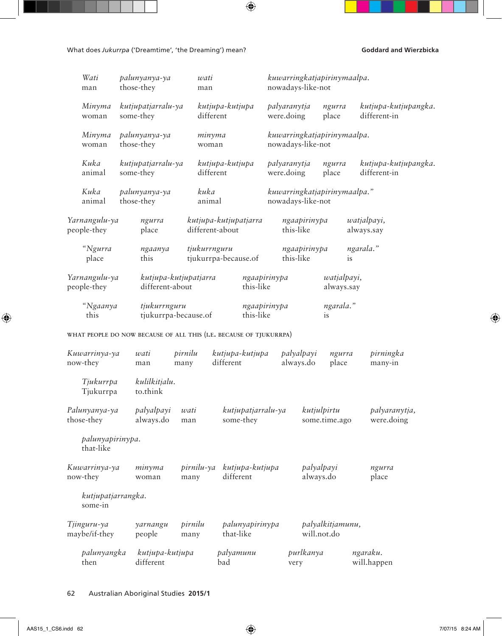What does Jukurrpa ('Dreamtime', 'the Dreaming') mean? **Goddard and Wierzbicka** 

| Wati<br>man                   | palunyanya-ya<br>those-they                                        | wati<br>man           |                                 |                            | nowadays-like-not         | kuwarringkatjapirinymaalpa.     |                                      |  |
|-------------------------------|--------------------------------------------------------------------|-----------------------|---------------------------------|----------------------------|---------------------------|---------------------------------|--------------------------------------|--|
| Minyma<br>woman               | kutjupatjarralu-ya<br>some-they                                    | different             | kutjupa-kutjupa                 | palyaranytja<br>were.doing |                           | ngurra<br>place                 | kutjupa-kutjupangka.<br>different-in |  |
| Minyma<br>woman               | palunyanya-ya<br>those-they                                        | minyma<br>woman       |                                 |                            | nowadays-like-not         | kuwarringkatjapirinymaalpa.     |                                      |  |
| Kuka<br>animal                | kutjupatjarralu-ya<br>some-they                                    | different             | kutjupa-kutjupa                 | palyaranytja<br>were.doing |                           | ngurra<br>place                 | kutjupa-kutjupangka.<br>different-in |  |
| Kuka<br>animal                | palunyanya-ya<br>those-they                                        | kuka<br>animal        |                                 |                            | nowadays-like-not         | kuwarringkatjapirinymaalpa."    |                                      |  |
| Yarnangulu-ya<br>people-they  | ngurra<br>place                                                    | different-about       | kutjupa-kutjupatjarra           |                            | ngaapirinypa<br>this-like |                                 | watjalpayi,<br>always.say            |  |
| "Ngurra<br>place              | ngaanya<br>this                                                    | tjukurrnguru          | tjukurrpa-because.of            |                            | ngaapirinypa<br>this-like | is                              | ngarala."                            |  |
| Yarnangulu-ya<br>people-they  | different-about                                                    | kutjupa-kutjupatjarra | this-like                       | ngaapirinypa               |                           | watjalpayi,<br>always.say       |                                      |  |
| "Ngaanya<br>this              | tjukurrnguru                                                       | tjukurrpa-because.of  | this-like                       | ngaapirinypa               |                           | ngarala."<br>is                 |                                      |  |
|                               | WHAT PEOPLE DO NOW BECAUSE OF ALL THIS (I.E. BECAUSE OF TJUKURRPA) |                       |                                 |                            |                           |                                 |                                      |  |
| Kuwarrinya-ya<br>now-they     | wati<br>man                                                        | pirnilu<br>many       | kutjupa-kutjupa<br>different    |                            | palyalpayi<br>always.do   | ngurra<br>place                 | pirningka<br>many-in                 |  |
| Tjukurrpa<br>Tjukurrpa        | kulilkitjalu.<br>to.think                                          |                       |                                 |                            |                           |                                 |                                      |  |
| Palunyanya-ya<br>those-they   | palyalpayi<br>always.do                                            | wati<br>man           | kutjupatjarralu-ya<br>some-they |                            |                           | kutjulpirtu<br>some.time.ago    | palyaranytja,<br>were.doing          |  |
| palunyapirinypa.<br>that-like |                                                                    |                       |                                 |                            |                           |                                 |                                      |  |
| Kuwarrinya-ya<br>now-they     | minyma<br>woman                                                    | pirnilu-ya<br>many    | kutjupa-kutjupa<br>different    |                            | palyalpayi<br>always.do   |                                 | ngurra<br>place                      |  |
| kutjupatjarrangka.<br>some-in |                                                                    |                       |                                 |                            |                           |                                 |                                      |  |
| Tjinguru-ya<br>maybe/if-they  | yarnangu<br>people                                                 | pirnilu<br>many       | palunyapirinypa<br>that-like    |                            |                           | palyalkitjamunu,<br>will.not.do |                                      |  |
| palunyangka<br>then           | kutjupa-kutjupa<br>different                                       |                       | palyamunu<br>bad                |                            | purlkanya<br>very         |                                 | ngaraku.<br>will.happen              |  |

 $\bigoplus$ 

62 Australian Aboriginal Studies **2015/1**

 $\bigoplus$ 

 $\bigoplus$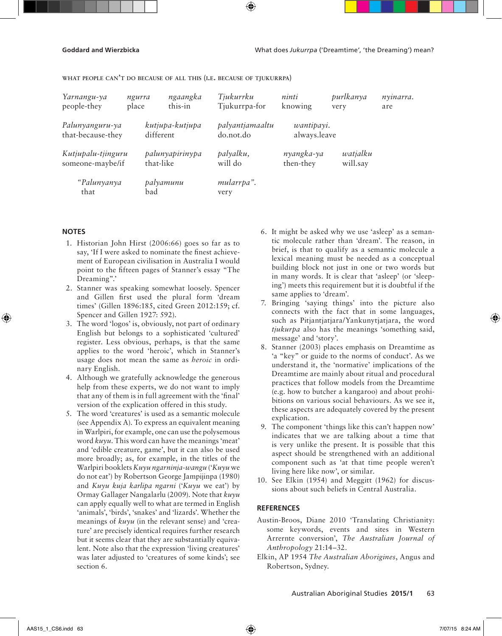**Goddard and Wierzbicka** What does *Jukurrpa* ('Dreamtime', 'the Dreaming') mean?

**what people can't do because of all this (i.e. because of tjukurrpa)**

| Yarnangu-ya<br>people-they             | ngurra<br>place | ngaangka<br>this-in          | Tjukurrku<br>Tjukurrpa-for   | ninti<br>knowing           | purlkanya<br>very    | nyinarra.<br>are |
|----------------------------------------|-----------------|------------------------------|------------------------------|----------------------------|----------------------|------------------|
| Palunyanguru-ya<br>that-because-they   |                 | kutjupa-kutjupa<br>different | palyantjamaaltu<br>do.not.do | wantipayi.<br>always.leave |                      |                  |
| Kutjupalu-tjinguru<br>someone-maybe/if |                 | palunyapirinypa<br>that-like | palyalku,<br>will do         | nyangka-ya<br>then-they    | watjalku<br>will.say |                  |
| "Palunyanya<br>that                    | bad             | palyamunu                    | mularrpa".<br>very           |                            |                      |                  |

### **NOTES**

↔

- 1. Historian John Hirst (2006:66) goes so far as to say, 'If I were asked to nominate the finest achievement of European civilisation in Australia I would point to the fifteen pages of Stanner's essay "The Dreaming".'
- 2. Stanner was speaking somewhat loosely. Spencer and Gillen first used the plural form 'dream times' (Gillen 1896:185, cited Green 2012:159; cf. Spencer and Gillen 1927: 592).
- 3. The word 'logos' is, obviously, not part of ordinary English but belongs to a sophisticated 'cultured' register. Less obvious, perhaps, is that the same applies to the word 'heroic', which in Stanner's usage does not mean the same as *heroic* in ordinary English.
- 4. Although we gratefully acknowledge the generous help from these experts, we do not want to imply that any of them is in full agreement with the 'final' version of the explication offered in this study.
- 5. The word 'creatures' is used as a semantic molecule (see Appendix A). To express an equivalent meaning in Warlpiri, for example, one can use the polysemous word *kuyu*. This word can have the meanings 'meat' and 'edible creature, game', but it can also be used more broadly; as, for example, in the titles of the Warlpiri booklets *Kuyu ngarninja-wangu* ('*Kuyu* we do not eat') by Robertson George Jampijinpa (1980) and *Kuyu kuja karlipa ngarni* ('*Kuyu* we eat') by Ormay Gallager Nangalarlu (2009). Note that *kuyu* can apply equally well to what are termed in English 'animals', 'birds', 'snakes' and 'lizards'. Whether the meanings of *kuyu* (in the relevant sense) and 'creature' are precisely identical requires further research but it seems clear that they are substantially equivalent. Note also that the expression 'living creatures' was later adjusted to 'creatures of some kinds'; see section 6.
- 6. It might be asked why we use 'asleep' as a semantic molecule rather than 'dream'. The reason, in brief, is that to qualify as a semantic molecule a lexical meaning must be needed as a conceptual building block not just in one or two words but in many words. It is clear that 'asleep' (or 'sleeping') meets this requirement but it is doubtful if the same applies to 'dream'.
- 7. Bringing 'saying things' into the picture also connects with the fact that in some languages, such as Pitjantjatjara/Yankunytjatjara, the word *tjukurpa* also has the meanings 'something said, message' and 'story'.
- 8. Stanner (2003) places emphasis on Dreamtime as 'a "key" or guide to the norms of conduct'. As we understand it, the 'normative' implications of the Dreamtime are mainly about ritual and procedural practices that follow models from the Dreamtime (e.g. how to butcher a kangaroo) and about prohibitions on various social behaviours. As we see it, these aspects are adequately covered by the present explication.
- 9. The component 'things like this can't happen now' indicates that we are talking about a time that is very unlike the present. It is possible that this aspect should be strengthened with an additional component such as 'at that time people weren't living here like now', or similar.
- 10. See Elkin (1954) and Meggitt (1962) for discussions about such beliefs in Central Australia.

### **REFERENCES**

- Austin-Broos, Diane 2010 'Translating Christianity: some keywords, events and sites in Western Arrernte conversion', *The Australian Journal of Anthropology* 21:14–32.
- Elkin, AP 1954 *The Australian Aborigines*, Angus and Robertson, Sydney.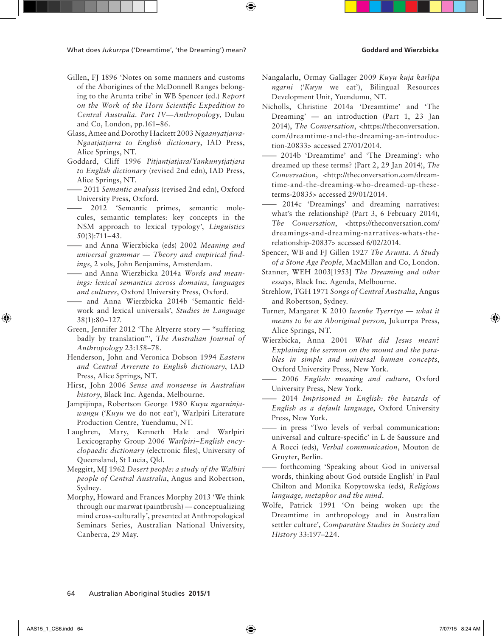- Gillen, FJ 1896 'Notes on some manners and customs of the Aborigines of the McDonnell Ranges belonging to the Arunta tribe' in WB Spencer (ed.) *Report on the Work of the Horn Scientific Expedition to Central Australia. Part IV—Anthropology*, Dulau and Co, London, pp.161–86.
- Glass, Amee and Dorothy Hackett 2003 *Ngaanyatjarra-Ngaatjatjarra to English dictionary*, IAD Press, Alice Springs, NT.
- Goddard, Cliff 1996 *Pitjantjatjara/Yankunytjatjara to English dictionary* (revised 2nd edn), IAD Press, Alice Springs, NT.
- 2011 *Semantic analysis* (revised 2nd edn), Oxford University Press, Oxford.
- 2012 'Semantic primes, semantic molecules, semantic templates: key concepts in the NSM approach to lexical typology', *Linguistics* 50(3):711–43.
- and Anna Wierzbicka (eds) 2002 *Meaning and universal grammar — Theory and empirical findings*, 2 vols, John Benjamins, Amsterdam.
- and Anna Wierzbicka 2014a *Words and meanings: lexical semantics across domains, languages and cultures*, Oxford University Press, Oxford.
- and Anna Wierzbicka 2014b 'Semantic fieldwork and lexical universals', *Studies in Language* 38(1):80–127.
- Green, Jennifer 2012 'The Altyerre story "suffering badly by translation"', *The Australian Journal of Anthropology* 23:158–78.
- Henderson, John and Veronica Dobson 1994 *Eastern and Central Arrernte to English dictionary*, IAD Press, Alice Springs, NT.
- Hirst, John 2006 *Sense and nonsense in Australian history*, Black Inc. Agenda, Melbourne.
- Jampijinpa, Robertson George 1980 *Kuyu ngarninjawangu* ('*Kuyu* we do not eat'), Warlpiri Literature Production Centre, Yuendumu, NT.
- Laughren, Mary, Kenneth Hale and Warlpiri Lexicography Group 2006 *Warlpiri–English encyclopaedic dictionary* (electronic files), University of Queensland, St Lucia, Qld.
- Meggitt, MJ 1962 *Desert people: a study of the Walbiri people of Central Australia*, Angus and Robertson, Sydney.
- Morphy, Howard and Frances Morphy 2013 'We think through our marwat (paintbrush) — conceptualizing mind cross-culturally', presented at Anthropological Seminars Series, Australian National University, Canberra, 29 May.
- Nangalarlu, Ormay Gallager 2009 *Kuyu kuja karlipa ngarni* ('*Kuyu* we eat'), Bilingual Resources Development Unit, Yuendumu, NT.
- Nicholls, Christine 2014a 'Dreamtime' and 'The Dreaming' — an introduction (Part 1, 23 Jan 2014), *The Conversation*, <https://theconversation. com/dreamtime-and-the-dreaming-an-introduction-20833> accessed 27/01/2014.
- 2014b 'Dreamtime' and 'The Dreaming': who dreamed up these terms? (Part 2, 29 Jan 2014), *The Conversation*, <http://theconversation.com/dreamtime-and-the-dreaming-who-dreamed-up-theseterms-20835> accessed 29/01/2014.
- 2014c 'Dreamings' and dreaming narratives: what's the relationship? (Part 3, 6 February 2014), *The Conversation*, <https://theconversation.com/ dreamings-and-dreaming-narratives-whats-therelationship-20837> accessed 6/02/2014.
- Spencer, WB and FJ Gillen 1927 *The Arunta. A Study of a Stone Age People*, MacMillan and Co, London.
- Stanner, WEH 2003[1953] *The Dreaming and other essays*, Black Inc. Agenda, Melbourne.
- Strehlow, TGH 1971 *Songs of Central Australia*, Angus and Robertson, Sydney.
- Turner, Margaret K 2010 *Iwenhe Tyerrtye what it means to be an Aboriginal person*, Jukurrpa Press, Alice Springs, NT.
- Wierzbicka, Anna 2001 *What did Jesus mean? Explaining the sermon on the mount and the parables in simple and universal human concepts*, Oxford University Press, New York.
- 2006 *English: meaning and culture*, Oxford University Press, New York.
- 2014 *Imprisoned in English: the hazards of English as a default language*, Oxford University Press, New York.
- in press 'Two levels of verbal communication: universal and culture-specific' in L de Saussure and A Rocci (eds), *Verbal communication*, Mouton de Gruyter, Berlin.
- forthcoming 'Speaking about God in universal words, thinking about God outside English' in Paul Chilton and Monika Kopytowska (eds), *Religious language, metaphor and the mind.*
- Wolfe, Patrick 1991 'On being woken up: the Dreamtime in anthropology and in Australian settler culture', *Comparative Studies in Society and History* 33:197–224.

### 64 Australian Aboriginal Studies **2015/1**

↔

↔